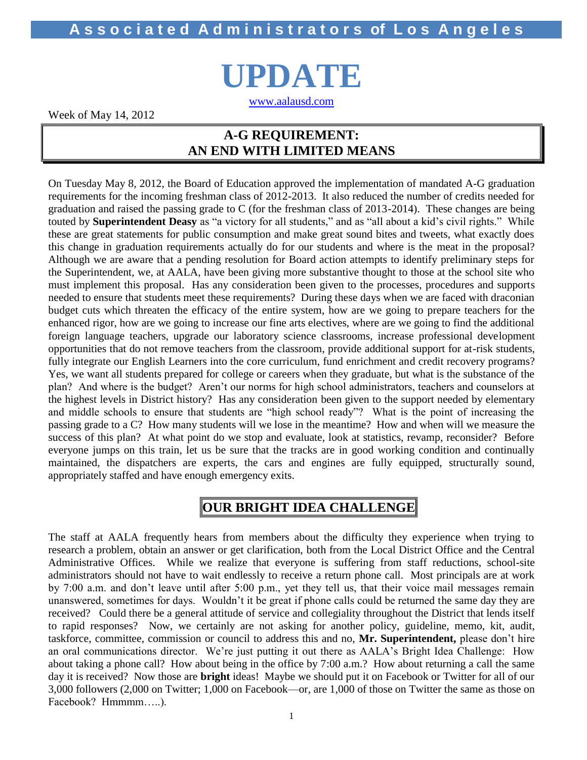# **A s s o c i a t e d A d m i n i s t r a t o r s of L o s A n g e l e s**

**UPDATE**

[www.aalausd.com](http://www.aalausd.com/)

Week of May 14, 2012

## **A-G REQUIREMENT: AN END WITH LIMITED MEANS**

On Tuesday May 8, 2012, the Board of Education approved the implementation of mandated A-G graduation requirements for the incoming freshman class of 2012-2013. It also reduced the number of credits needed for graduation and raised the passing grade to C (for the freshman class of 2013-2014). These changes are being touted by **Superintendent Deasy** as "a victory for all students," and as "all about a kid's civil rights." While these are great statements for public consumption and make great sound bites and tweets, what exactly does this change in graduation requirements actually do for our students and where is the meat in the proposal? Although we are aware that a pending resolution for Board action attempts to identify preliminary steps for the Superintendent, we, at AALA, have been giving more substantive thought to those at the school site who must implement this proposal. Has any consideration been given to the processes, procedures and supports needed to ensure that students meet these requirements? During these days when we are faced with draconian budget cuts which threaten the efficacy of the entire system, how are we going to prepare teachers for the enhanced rigor, how are we going to increase our fine arts electives, where are we going to find the additional foreign language teachers, upgrade our laboratory science classrooms, increase professional development opportunities that do not remove teachers from the classroom, provide additional support for at-risk students, fully integrate our English Learners into the core curriculum, fund enrichment and credit recovery programs? Yes, we want all students prepared for college or careers when they graduate, but what is the substance of the plan? And where is the budget? Aren't our norms for high school administrators, teachers and counselors at the highest levels in District history? Has any consideration been given to the support needed by elementary and middle schools to ensure that students are "high school ready"? What is the point of increasing the passing grade to a C? How many students will we lose in the meantime? How and when will we measure the success of this plan? At what point do we stop and evaluate, look at statistics, revamp, reconsider? Before everyone jumps on this train, let us be sure that the tracks are in good working condition and continually maintained, the dispatchers are experts, the cars and engines are fully equipped, structurally sound, appropriately staffed and have enough emergency exits.

# **OUR BRIGHT IDEA CHALLENGE**

The staff at AALA frequently hears from members about the difficulty they experience when trying to research a problem, obtain an answer or get clarification, both from the Local District Office and the Central Administrative Offices. While we realize that everyone is suffering from staff reductions, school-site administrators should not have to wait endlessly to receive a return phone call. Most principals are at work by 7:00 a.m. and don't leave until after 5:00 p.m., yet they tell us, that their voice mail messages remain unanswered, sometimes for days. Wouldn't it be great if phone calls could be returned the same day they are received? Could there be a general attitude of service and collegiality throughout the District that lends itself to rapid responses? Now, we certainly are not asking for another policy, guideline, memo, kit, audit, taskforce, committee, commission or council to address this and no, **Mr. Superintendent,** please don't hire an oral communications director. We're just putting it out there as AALA's Bright Idea Challenge: How about taking a phone call? How about being in the office by 7:00 a.m.? How about returning a call the same day it is received? Now those are **bright** ideas! Maybe we should put it on Facebook or Twitter for all of our 3,000 followers (2,000 on Twitter; 1,000 on Facebook—or, are 1,000 of those on Twitter the same as those on Facebook? Hmmmm.....).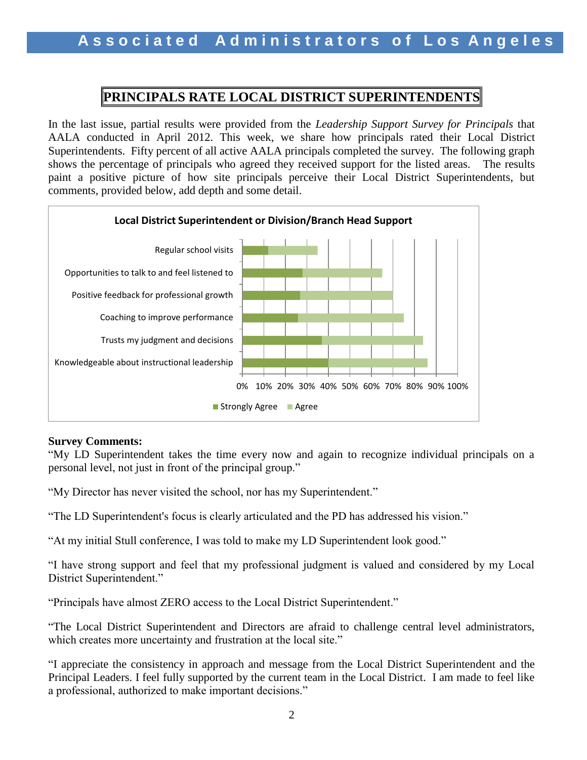## **PRINCIPALS RATE LOCAL DISTRICT SUPERINTENDENTS**

In the last issue, partial results were provided from the *Leadership Support Survey for Principals* that AALA conducted in April 2012. This week, we share how principals rated their Local District Superintendents. Fifty percent of all active AALA principals completed the survey. The following graph shows the percentage of principals who agreed they received support for the listed areas.The results paint a positive picture of how site principals perceive their Local District Superintendents, but comments, provided below, add depth and some detail.



## **Survey Comments:**

"My LD Superintendent takes the time every now and again to recognize individual principals on a personal level, not just in front of the principal group."

"My Director has never visited the school, nor has my Superintendent."

"The LD Superintendent's focus is clearly articulated and the PD has addressed his vision."

"At my initial Stull conference, I was told to make my LD Superintendent look good."

"I have strong support and feel that my professional judgment is valued and considered by my Local District Superintendent."

"Principals have almost ZERO access to the Local District Superintendent."

"The Local District Superintendent and Directors are afraid to challenge central level administrators, which creates more uncertainty and frustration at the local site."

"I appreciate the consistency in approach and message from the Local District Superintendent and the Principal Leaders. I feel fully supported by the current team in the Local District. I am made to feel like a professional, authorized to make important decisions."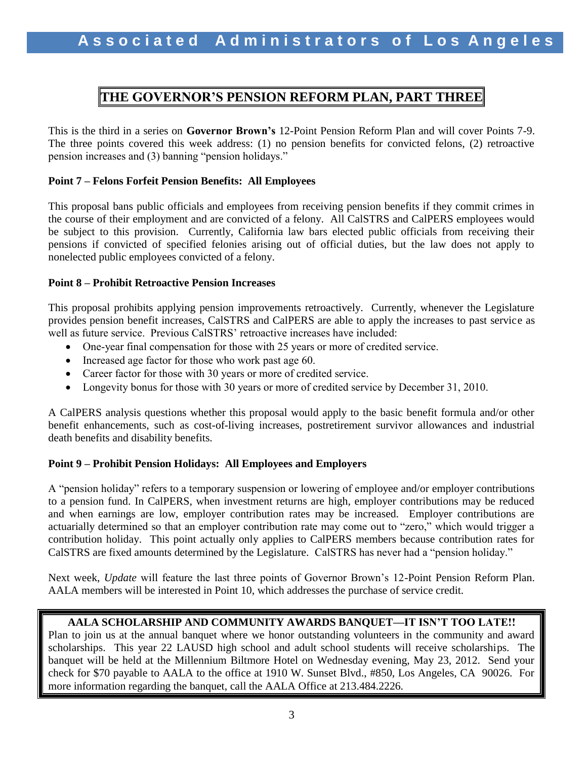## **THE GOVERNOR'S PENSION REFORM PLAN, PART THREE**

This is the third in a series on **Governor Brown's** 12-Point Pension Reform Plan and will cover Points 7-9. The three points covered this week address: (1) no pension benefits for convicted felons, (2) retroactive pension increases and (3) banning "pension holidays."

### **Point 7 – Felons Forfeit Pension Benefits: All Employees**

This proposal bans public officials and employees from receiving pension benefits if they commit crimes in the course of their employment and are convicted of a felony. All CalSTRS and CalPERS employees would be subject to this provision. Currently, California law bars elected public officials from receiving their pensions if convicted of specified felonies arising out of official duties, but the law does not apply to nonelected public employees convicted of a felony.

### **Point 8 – Prohibit Retroactive Pension Increases**

This proposal prohibits applying pension improvements retroactively. Currently, whenever the Legislature provides pension benefit increases, CalSTRS and CalPERS are able to apply the increases to past service as well as future service. Previous CalSTRS' retroactive increases have included:

- One-year final compensation for those with 25 years or more of credited service.
- Increased age factor for those who work past age 60.
- Career factor for those with 30 years or more of credited service.
- Longevity bonus for those with 30 years or more of credited service by December 31, 2010.

A CalPERS analysis questions whether this proposal would apply to the basic benefit formula and/or other benefit enhancements, such as cost-of-living increases, postretirement survivor allowances and industrial death benefits and disability benefits.

## **Point 9 – Prohibit Pension Holidays: All Employees and Employers**

A "pension holiday" refers to a temporary suspension or lowering of employee and/or employer contributions to a pension fund. In CalPERS, when investment returns are high, employer contributions may be reduced and when earnings are low, employer contribution rates may be increased. Employer contributions are actuarially determined so that an employer contribution rate may come out to "zero," which would trigger a contribution holiday. This point actually only applies to CalPERS members because contribution rates for CalSTRS are fixed amounts determined by the Legislature. CalSTRS has never had a "pension holiday."

Next week, *Update* will feature the last three points of Governor Brown's 12-Point Pension Reform Plan. AALA members will be interested in Point 10, which addresses the purchase of service credit.

## **AALA SCHOLARSHIP AND COMMUNITY AWARDS BANQUET—IT ISN'T TOO LATE!!**

Plan to join us at the annual banquet where we honor outstanding volunteers in the community and award scholarships. This year 22 LAUSD high school and adult school students will receive scholarships. The banquet will be held at the Millennium Biltmore Hotel on Wednesday evening, May 23, 2012. Send your check for \$70 payable to AALA to the office at 1910 W. Sunset Blvd., #850, Los Angeles, CA 90026. For more information regarding the banquet, call the AALA Office at 213.484.2226.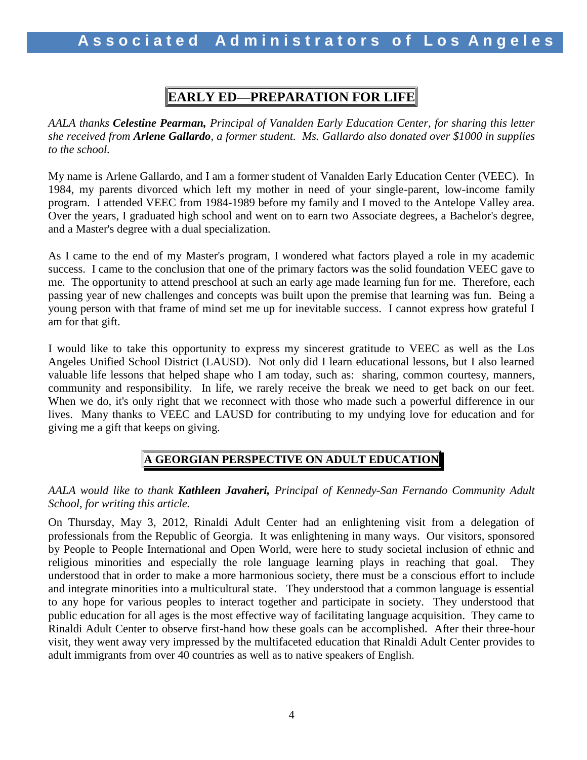# **EARLY ED—PREPARATION FOR LIFE**

*AALA thanks Celestine Pearman, Principal of Vanalden Early Education Center, for sharing this letter she received from Arlene Gallardo, a former student. Ms. Gallardo also donated over \$1000 in supplies to the school.* 

My name is Arlene Gallardo, and I am a former student of Vanalden Early Education Center (VEEC). In 1984, my parents divorced which left my mother in need of your single-parent, low-income family program. I attended VEEC from 1984-1989 before my family and I moved to the Antelope Valley area. Over the years, I graduated high school and went on to earn two Associate degrees, a Bachelor's degree, and a Master's degree with a dual specialization.

As I came to the end of my Master's program, I wondered what factors played a role in my academic success. I came to the conclusion that one of the primary factors was the solid foundation VEEC gave to me. The opportunity to attend preschool at such an early age made learning fun for me. Therefore, each passing year of new challenges and concepts was built upon the premise that learning was fun. Being a young person with that frame of mind set me up for inevitable success. I cannot express how grateful I am for that gift.

I would like to take this opportunity to express my sincerest gratitude to VEEC as well as the Los Angeles Unified School District (LAUSD). Not only did I learn educational lessons, but I also learned valuable life lessons that helped shape who I am today, such as: sharing, common courtesy, manners, community and responsibility. In life, we rarely receive the break we need to get back on our feet. When we do, it's only right that we reconnect with those who made such a powerful difference in our lives. Many thanks to VEEC and LAUSD for contributing to my undying love for education and for giving me a gift that keeps on giving.

## **A GEORGIAN PERSPECTIVE ON ADULT EDUCATION**

## *AALA would like to thank Kathleen Javaheri, Principal of Kennedy-San Fernando Community Adult School, for writing this article.*

On Thursday, May 3, 2012, Rinaldi Adult Center had an enlightening visit from a delegation of professionals from the Republic of Georgia. It was enlightening in many ways. Our visitors, sponsored by People to People International and Open World, were here to study societal inclusion of ethnic and religious minorities and especially the role language learning plays in reaching that goal. They understood that in order to make a more harmonious society, there must be a conscious effort to include and integrate minorities into a multicultural state. They understood that a common language is essential to any hope for various peoples to interact together and participate in society. They understood that public education for all ages is the most effective way of facilitating language acquisition. They came to Rinaldi Adult Center to observe first-hand how these goals can be accomplished. After their three-hour visit, they went away very impressed by the multifaceted education that Rinaldi Adult Center provides to adult immigrants from over 40 countries as well as to native speakers of English.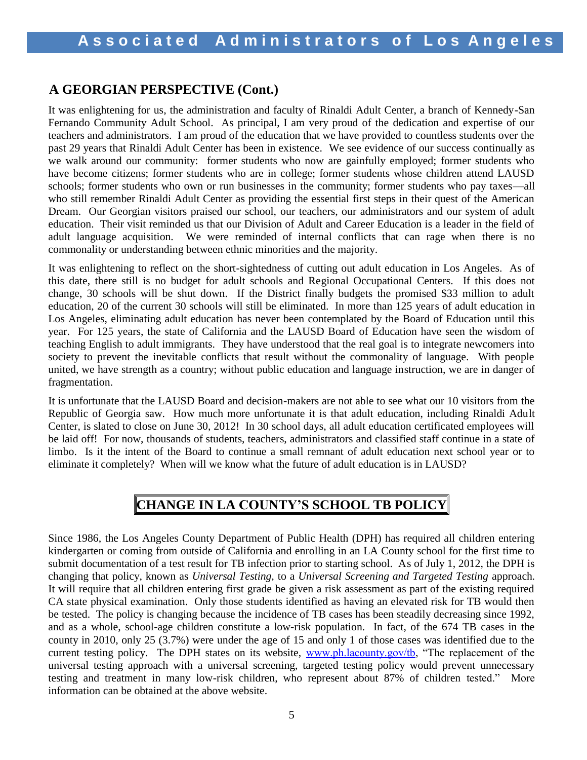## **A GEORGIAN PERSPECTIVE (Cont.)**

It was enlightening for us, the administration and faculty of Rinaldi Adult Center, a branch of Kennedy-San Fernando Community Adult School. As principal, I am very proud of the dedication and expertise of our teachers and administrators. I am proud of the education that we have provided to countless students over the past 29 years that Rinaldi Adult Center has been in existence. We see evidence of our success continually as we walk around our community: former students who now are gainfully employed; former students who have become citizens; former students who are in college; former students whose children attend LAUSD schools; former students who own or run businesses in the community; former students who pay taxes—all who still remember Rinaldi Adult Center as providing the essential first steps in their quest of the American Dream. Our Georgian visitors praised our school, our teachers, our administrators and our system of adult education. Their visit reminded us that our Division of Adult and Career Education is a leader in the field of adult language acquisition. We were reminded of internal conflicts that can rage when there is no commonality or understanding between ethnic minorities and the majority.

It was enlightening to reflect on the short-sightedness of cutting out adult education in Los Angeles. As of this date, there still is no budget for adult schools and Regional Occupational Centers. If this does not change, 30 schools will be shut down. If the District finally budgets the promised \$33 million to adult education, 20 of the current 30 schools will still be eliminated. In more than 125 years of adult education in Los Angeles, eliminating adult education has never been contemplated by the Board of Education until this year. For 125 years, the state of California and the LAUSD Board of Education have seen the wisdom of teaching English to adult immigrants. They have understood that the real goal is to integrate newcomers into society to prevent the inevitable conflicts that result without the commonality of language. With people united, we have strength as a country; without public education and language instruction, we are in danger of fragmentation.

It is unfortunate that the LAUSD Board and decision-makers are not able to see what our 10 visitors from the Republic of Georgia saw. How much more unfortunate it is that adult education, including Rinaldi Adult Center, is slated to close on June 30, 2012! In 30 school days, all adult education certificated employees will be laid off! For now, thousands of students, teachers, administrators and classified staff continue in a state of limbo. Is it the intent of the Board to continue a small remnant of adult education next school year or to eliminate it completely? When will we know what the future of adult education is in LAUSD?

# **CHANGE IN LA COUNTY'S SCHOOL TB POLICY**

Since 1986, the Los Angeles County Department of Public Health (DPH) has required all children entering kindergarten or coming from outside of California and enrolling in an LA County school for the first time to submit documentation of a test result for TB infection prior to starting school. As of July 1, 2012, the DPH is changing that policy, known as *Universal Testing,* to a *Universal Screening and Targeted Testing* approach. It will require that all children entering first grade be given a risk assessment as part of the existing required CA state physical examination. Only those students identified as having an elevated risk for TB would then be tested. The policy is changing because the incidence of TB cases has been steadily decreasing since 1992, and as a whole, school-age children constitute a low-risk population. In fact, of the 674 TB cases in the county in 2010, only 25 (3.7%) were under the age of 15 and only 1 of those cases was identified due to the current testing policy. The DPH states on its website, [www.ph.lacounty.gov/tb](http://www.ph.lacounty.gov/tb), "The replacement of the universal testing approach with a universal screening, targeted testing policy would prevent unnecessary testing and treatment in many low-risk children, who represent about 87% of children tested." More information can be obtained at the above website.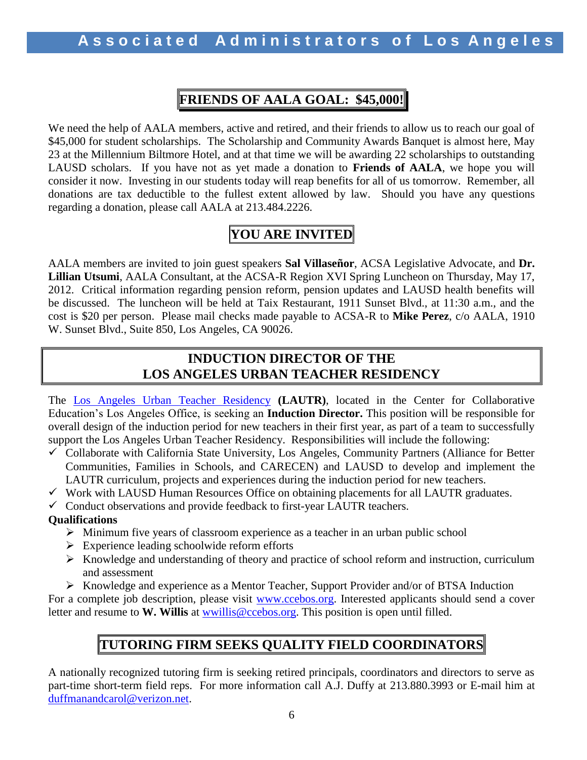# **FRIENDS OF AALA GOAL: \$45,000!**

We need the help of AALA members, active and retired, and their friends to allow us to reach our goal of \$45,000 for student scholarships. The Scholarship and Community Awards Banquet is almost here, May 23 at the Millennium Biltmore Hotel, and at that time we will be awarding 22 scholarships to outstanding LAUSD scholars. If you have not as yet made a donation to **Friends of AALA**, we hope you will consider it now. Investing in our students today will reap benefits for all of us tomorrow. Remember, all donations are tax deductible to the fullest extent allowed by law. Should you have any questions regarding a donation, please call AALA at 213.484.2226.

# **YOU ARE INVITED**

AALA members are invited to join guest speakers **Sal Villaseñor**, ACSA Legislative Advocate, and **Dr. Lillian Utsumi**, AALA Consultant, at the ACSA-R Region XVI Spring Luncheon on Thursday, May 17, 2012. Critical information regarding pension reform, pension updates and LAUSD health benefits will be discussed. The luncheon will be held at Taix Restaurant, 1911 Sunset Blvd., at 11:30 a.m., and the cost is \$20 per person. Please mail checks made payable to ACSA-R to **Mike Perez**, c/o AALA, 1910 W. Sunset Blvd., Suite 850, Los Angeles, CA 90026.

## **INDUCTION DIRECTOR OF THE LOS ANGELES URBAN TEACHER RESIDENCY**

The [Los Angeles Urban Teacher Residency](http://www.lautr.org/) **(LAUTR)**, located in the Center for Collaborative Education's Los Angeles Office, is seeking an **Induction Director.** This position will be responsible for overall design of the induction period for new teachers in their first year, as part of a team to successfully support the Los Angeles Urban Teacher Residency. Responsibilities will include the following:

- $\checkmark$  Collaborate with California State University, Los Angeles, Community Partners (Alliance for Better Communities, Families in Schools, and CARECEN) and LAUSD to develop and implement the LAUTR curriculum, projects and experiences during the induction period for new teachers.
- $\checkmark$  Work with LAUSD Human Resources Office on obtaining placements for all LAUTR graduates.

 $\checkmark$  Conduct observations and provide feedback to first-year LAUTR teachers.

## **Qualifications**

- $\triangleright$  Minimum five years of classroom experience as a teacher in an urban public school
- $\triangleright$  Experience leading schoolwide reform efforts
- $\triangleright$  Knowledge and understanding of theory and practice of school reform and instruction, curriculum and assessment
- Knowledge and experience as a Mentor Teacher, Support Provider and/or of BTSA Induction

For a complete job description, please visit [www.ccebos.org.](http://www.ccebos.org/) Interested applicants should send a cover letter and resume to **W. Willis** at [wwillis@ccebos.org.](mailto:wwillis@ccebos.org) This position is open until filled.

# **TUTORING FIRM SEEKS QUALITY FIELD COORDINATORS**

A nationally recognized tutoring firm is seeking retired principals, coordinators and directors to serve as part-time short-term field reps. For more information call A.J. Duffy at 213.880.3993 or E-mail him at [duffmanandcarol@verizon.net.](mailto:duffmanandcarol@verizon.net)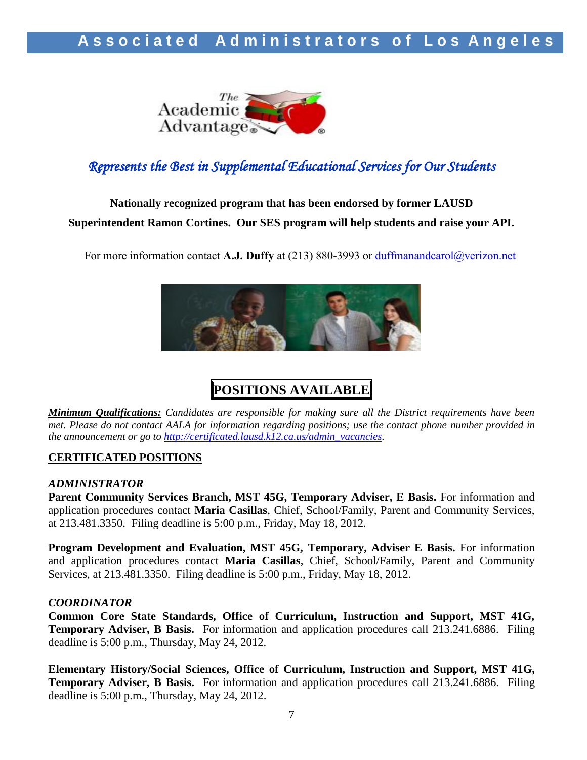

# *Represents the Best in Supplemental Educational Services for Our Students*

# **Nationally recognized program that has been endorsed by former LAUSD Superintendent Ramon Cortines. Our SES program will help students and raise your API.**

For more information contact **A.J. Duffy** at (213) 880-3993 or [duffmanandcarol@verizon.net](mailto:duffmanandcarol@verizon.net)



# **POSITIONS AVAILABLE**

*Minimum Qualifications: Candidates are responsible for making sure all the District requirements have been met. Please do not contact AALA for information regarding positions; use the contact phone number provided in the announcement or go to [http://certificated.lausd.k12.ca.us/admin\\_vacancies.](http://certificated.lausd.k12.ca.us/admin_vacancies)* 

### **CERTIFICATED POSITIONS**

### *ADMINISTRATOR*

**Parent Community Services Branch, MST 45G, Temporary Adviser, E Basis.** For information and application procedures contact **Maria Casillas**, Chief, School/Family, Parent and Community Services, at 213.481.3350. Filing deadline is 5:00 p.m., Friday, May 18, 2012.

**Program Development and Evaluation, MST 45G, Temporary, Adviser E Basis.** For information and application procedures contact **Maria Casillas**, Chief, School/Family, Parent and Community Services, at 213.481.3350. Filing deadline is 5:00 p.m., Friday, May 18, 2012.

### *COORDINATOR*

**Common Core State Standards, Office of Curriculum, Instruction and Support, MST 41G, Temporary Adviser, B Basis.** For information and application procedures call 213.241.6886. Filing deadline is 5:00 p.m., Thursday, May 24, 2012.

**Elementary History/Social Sciences, Office of Curriculum, Instruction and Support, MST 41G, Temporary Adviser, B Basis.** For information and application procedures call 213.241.6886. Filing deadline is 5:00 p.m., Thursday, May 24, 2012.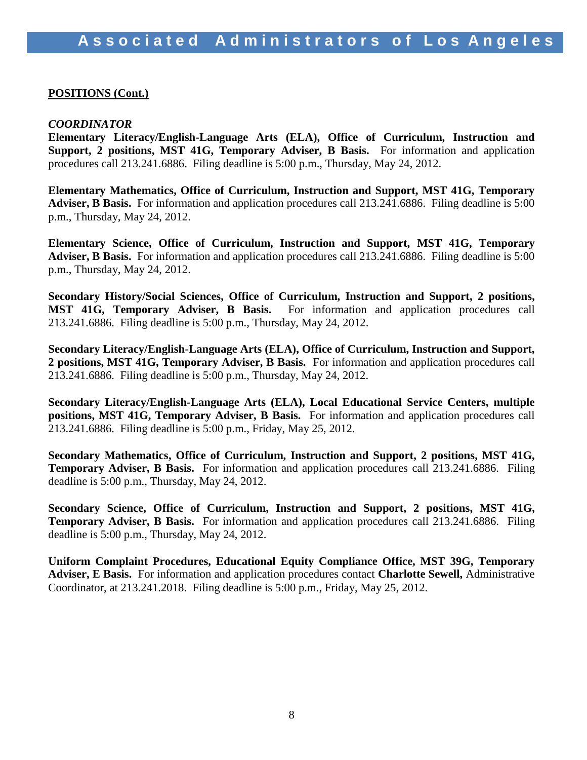### **POSITIONS (Cont.)**

### *COORDINATOR*

**Elementary Literacy/English-Language Arts (ELA), Office of Curriculum, Instruction and Support, 2 positions, MST 41G, Temporary Adviser, B Basis.** For information and application procedures call 213.241.6886. Filing deadline is 5:00 p.m., Thursday, May 24, 2012.

**Elementary Mathematics, Office of Curriculum, Instruction and Support, MST 41G, Temporary Adviser, B Basis.** For information and application procedures call 213.241.6886. Filing deadline is 5:00 p.m., Thursday, May 24, 2012.

**Elementary Science, Office of Curriculum, Instruction and Support, MST 41G, Temporary Adviser, B Basis.** For information and application procedures call 213.241.6886. Filing deadline is 5:00 p.m., Thursday, May 24, 2012.

**Secondary History/Social Sciences, Office of Curriculum, Instruction and Support, 2 positions, MST 41G, Temporary Adviser, B Basis.** For information and application procedures call 213.241.6886. Filing deadline is 5:00 p.m., Thursday, May 24, 2012.

**Secondary Literacy/English-Language Arts (ELA), Office of Curriculum, Instruction and Support, 2 positions, MST 41G, Temporary Adviser, B Basis.** For information and application procedures call 213.241.6886. Filing deadline is 5:00 p.m., Thursday, May 24, 2012.

**Secondary Literacy/English-Language Arts (ELA), Local Educational Service Centers, multiple positions, MST 41G, Temporary Adviser, B Basis.** For information and application procedures call 213.241.6886. Filing deadline is 5:00 p.m., Friday, May 25, 2012.

**Secondary Mathematics, Office of Curriculum, Instruction and Support, 2 positions, MST 41G, Temporary Adviser, B Basis.** For information and application procedures call 213.241.6886. Filing deadline is 5:00 p.m., Thursday, May 24, 2012.

**Secondary Science, Office of Curriculum, Instruction and Support, 2 positions, MST 41G, Temporary Adviser, B Basis.** For information and application procedures call 213.241.6886. Filing deadline is 5:00 p.m., Thursday, May 24, 2012.

**Uniform Complaint Procedures, Educational Equity Compliance Office, MST 39G, Temporary Adviser, E Basis.** For information and application procedures contact **Charlotte Sewell,** Administrative Coordinator, at 213.241.2018. Filing deadline is 5:00 p.m., Friday, May 25, 2012.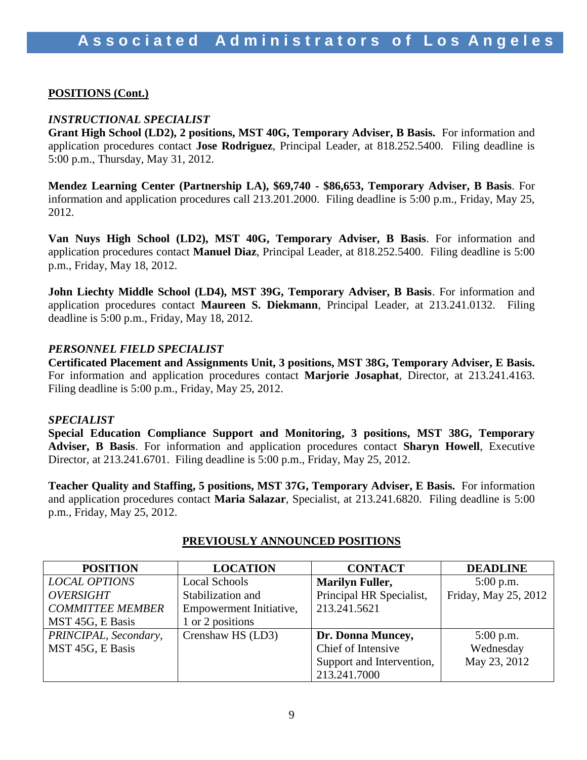## **POSITIONS (Cont.)**

## *INSTRUCTIONAL SPECIALIST*

**Grant High School (LD2), 2 positions, MST 40G, Temporary Adviser, B Basis.** For information and application procedures contact **Jose Rodriguez**, Principal Leader, at 818.252.5400. Filing deadline is 5:00 p.m., Thursday, May 31, 2012.

**Mendez Learning Center (Partnership LA), \$69,740 - \$86,653, Temporary Adviser, B Basis**. For information and application procedures call 213.201.2000. Filing deadline is 5:00 p.m., Friday, May 25, 2012.

**Van Nuys High School (LD2), MST 40G, Temporary Adviser, B Basis**. For information and application procedures contact **Manuel Diaz**, Principal Leader, at 818.252.5400. Filing deadline is 5:00 p.m., Friday, May 18, 2012.

**John Liechty Middle School (LD4), MST 39G, Temporary Adviser, B Basis**. For information and application procedures contact **Maureen S. Diekmann**, Principal Leader, at 213.241.0132. Filing deadline is 5:00 p.m., Friday, May 18, 2012.

## *PERSONNEL FIELD SPECIALIST*

**Certificated Placement and Assignments Unit, 3 positions, MST 38G, Temporary Adviser, E Basis.**  For information and application procedures contact **Marjorie Josaphat**, Director, at 213.241.4163. Filing deadline is 5:00 p.m., Friday, May 25, 2012.

### *SPECIALIST*

**Special Education Compliance Support and Monitoring, 3 positions, MST 38G, Temporary Adviser, B Basis**. For information and application procedures contact **Sharyn Howell**, Executive Director, at 213.241.6701. Filing deadline is 5:00 p.m., Friday, May 25, 2012.

**Teacher Quality and Staffing, 5 positions, MST 37G, Temporary Adviser, E Basis.** For information and application procedures contact **Maria Salazar**, Specialist, at 213.241.6820. Filing deadline is 5:00 p.m., Friday, May 25, 2012.

| <b>POSITION</b>         | <b>LOCATION</b>         | <b>CONTACT</b>            | <b>DEADLINE</b>      |
|-------------------------|-------------------------|---------------------------|----------------------|
| <b>LOCAL OPTIONS</b>    | <b>Local Schools</b>    | <b>Marilyn Fuller,</b>    | $5:00$ p.m.          |
| <b>OVERSIGHT</b>        | Stabilization and       | Principal HR Specialist,  | Friday, May 25, 2012 |
| <b>COMMITTEE MEMBER</b> | Empowerment Initiative, | 213.241.5621              |                      |
| MST 45G, E Basis        | 1 or 2 positions        |                           |                      |
| PRINCIPAL, Secondary,   | Crenshaw HS (LD3)       | Dr. Donna Muncey,         | $5:00$ p.m.          |
| MST 45G, E Basis        |                         | Chief of Intensive        | Wednesday            |
|                         |                         | Support and Intervention, | May 23, 2012         |
|                         |                         | 213.241.7000              |                      |

## **PREVIOUSLY ANNOUNCED POSITIONS**